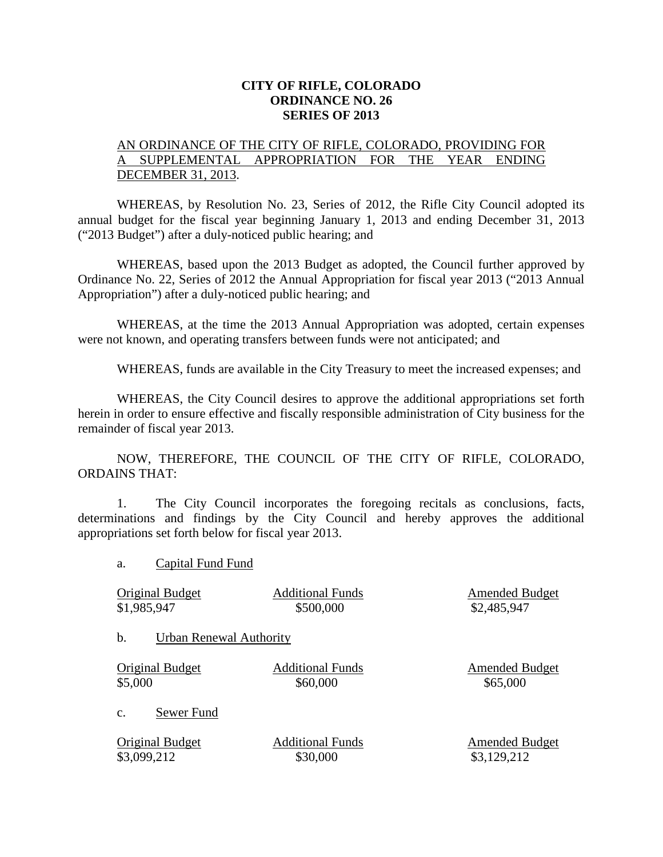## **CITY OF RIFLE, COLORADO ORDINANCE NO. 26 SERIES OF 2013**

## AN ORDINANCE OF THE CITY OF RIFLE, COLORADO, PROVIDING FOR A SUPPLEMENTAL APPROPRIATION FOR THE YEAR ENDING DECEMBER 31, 2013.

WHEREAS, by Resolution No. 23, Series of 2012, the Rifle City Council adopted its annual budget for the fiscal year beginning January 1, 2013 and ending December 31, 2013 ("2013 Budget") after a duly-noticed public hearing; and

WHEREAS, based upon the 2013 Budget as adopted, the Council further approved by Ordinance No. 22, Series of 2012 the Annual Appropriation for fiscal year 2013 ("2013 Annual Appropriation") after a duly-noticed public hearing; and

WHEREAS, at the time the 2013 Annual Appropriation was adopted, certain expenses were not known, and operating transfers between funds were not anticipated; and

WHEREAS, funds are available in the City Treasury to meet the increased expenses; and

WHEREAS, the City Council desires to approve the additional appropriations set forth herein in order to ensure effective and fiscally responsible administration of City business for the remainder of fiscal year 2013.

NOW, THEREFORE, THE COUNCIL OF THE CITY OF RIFLE, COLORADO, ORDAINS THAT:

1. The City Council incorporates the foregoing recitals as conclusions, facts, determinations and findings by the City Council and hereby approves the additional appropriations set forth below for fiscal year 2013.

a. Capital Fund Fund

| Original Budget               | <b>Additional Funds</b> | <b>Amended Budget</b> |
|-------------------------------|-------------------------|-----------------------|
| \$1,985,947                   | \$500,000               | \$2,485,947           |
| b.<br>Urban Renewal Authority |                         |                       |
| Original Budget               | <b>Additional Funds</b> | <b>Amended Budget</b> |
| \$5,000                       | \$60,000                | \$65,000              |
| Sewer Fund<br>$\mathbf{C}$ .  |                         |                       |
| Original Budget               | <b>Additional Funds</b> | <b>Amended Budget</b> |
| \$3,099,212                   | \$30,000                | \$3,129,212           |